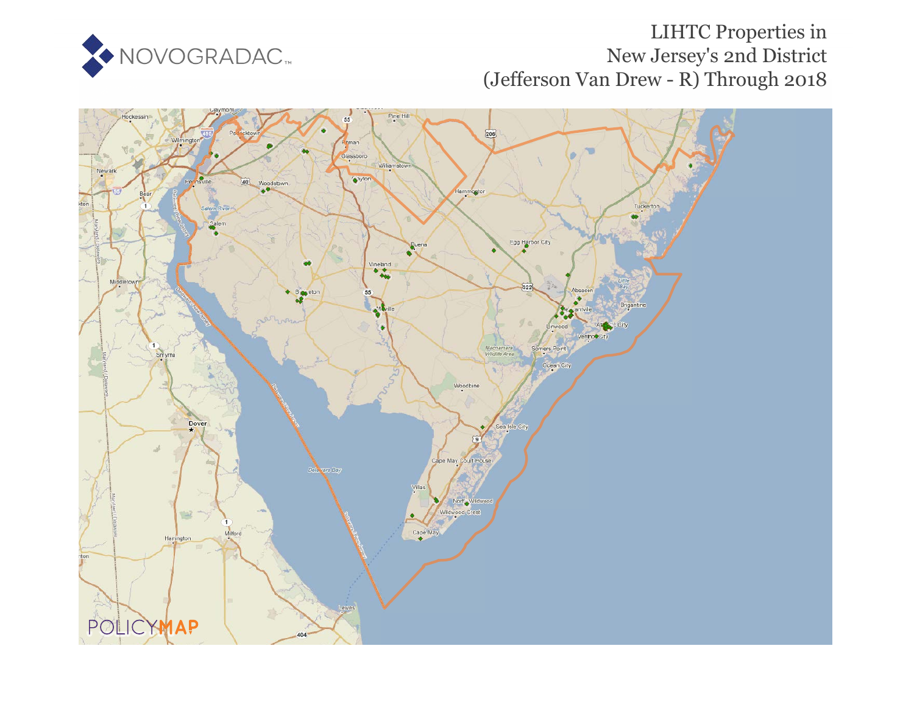

# LIHTC Properties in New Jersey's 2nd District (Jefferson Van Drew - R) Through 2018

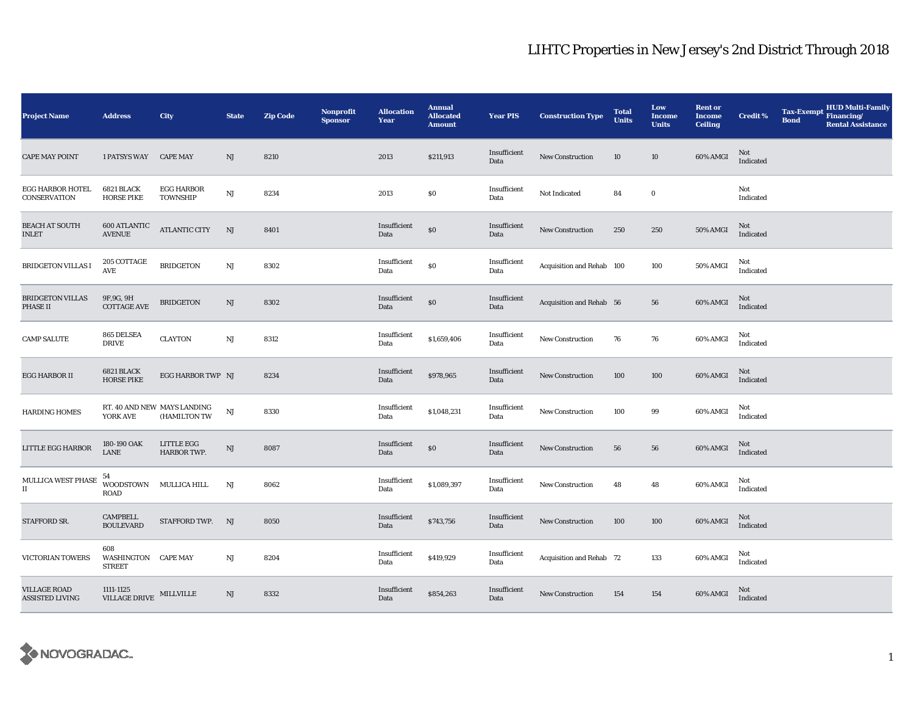| <b>Project Name</b>                        | <b>Address</b>                                  | <b>City</b>                                 | <b>State</b>           | <b>Zip Code</b> | <b>Nonprofit</b><br><b>Sponsor</b> | <b>Allocation</b><br>Year | <b>Annual</b><br><b>Allocated</b><br><b>Amount</b> | <b>Year PIS</b>      | <b>Construction Type</b>  | <b>Total</b><br><b>Units</b> | Low<br><b>Income</b><br><b>Units</b> | <b>Rent or</b><br><b>Income</b><br><b>Ceiling</b> | <b>Credit %</b>                                   | <b>Tax-Exempt</b><br><b>Bond</b> | <b>HUD Multi-Family</b><br>Financing/<br><b>Rental Assistance</b> |
|--------------------------------------------|-------------------------------------------------|---------------------------------------------|------------------------|-----------------|------------------------------------|---------------------------|----------------------------------------------------|----------------------|---------------------------|------------------------------|--------------------------------------|---------------------------------------------------|---------------------------------------------------|----------------------------------|-------------------------------------------------------------------|
| <b>CAPE MAY POINT</b>                      | 1 PATSYS WAY CAPE MAY                           |                                             | NJ                     | 8210            |                                    | 2013                      | \$211,913                                          | Insufficient<br>Data | New Construction          | 10                           | 10                                   | 60% AMGI                                          | Not<br>Indicated                                  |                                  |                                                                   |
| EGG HARBOR HOTEL<br>CONSERVATION           | 6821 BLACK<br><b>HORSE PIKE</b>                 | <b>EGG HARBOR</b><br>TOWNSHIP               | $\mathbf{N}\mathbf{J}$ | 8234            |                                    | 2013                      | $\$0$                                              | Insufficient<br>Data | Not Indicated             | 84                           | $\bf{0}$                             |                                                   | Not<br>Indicated                                  |                                  |                                                                   |
| <b>BEACH AT SOUTH</b><br>INLET             | <b>600 ATLANTIC</b><br><b>AVENUE</b>            | ATLANTIC CITY                               | NJ                     | 8401            |                                    | Insufficient<br>Data      | $\$0$                                              | Insufficient<br>Data | New Construction          | 250                          | 250                                  | <b>50% AMGI</b>                                   | Not<br>Indicated                                  |                                  |                                                                   |
| <b>BRIDGETON VILLAS I</b>                  | 205 COTTAGE<br>AVE                              | <b>BRIDGETON</b>                            | $\mathbf{N}\mathbf{J}$ | 8302            |                                    | Insufficient<br>Data      | \$0                                                | Insufficient<br>Data | Acquisition and Rehab 100 |                              | 100                                  | 50% AMGI                                          | Not<br>Indicated                                  |                                  |                                                                   |
| BRIDGETON VILLAS<br>PHASE II               | 9F, 9G, 9H<br>$\operatorname{COTTAGE}$ AVE      | <b>BRIDGETON</b>                            | NJ                     | 8302            |                                    | Insufficient<br>Data      | \$0                                                | Insufficient<br>Data | Acquisition and Rehab 56  |                              | 56                                   | 60% AMGI                                          | Not<br>Indicated                                  |                                  |                                                                   |
| <b>CAMP SALUTE</b>                         | 865 DELSEA<br><b>DRIVE</b>                      | <b>CLAYTON</b>                              | $\mathbf{N}\mathbf{J}$ | 8312            |                                    | Insufficient<br>Data      | \$1,659,406                                        | Insufficient<br>Data | New Construction          | 76                           | 76                                   | 60% AMGI                                          | Not<br>Indicated                                  |                                  |                                                                   |
| EGG HARBOR II                              | <b>6821 BLACK</b><br><b>HORSE PIKE</b>          | EGG HARBOR TWP NJ                           |                        | 8234            |                                    | Insufficient<br>Data      | \$978,965                                          | Insufficient<br>Data | <b>New Construction</b>   | 100                          | 100                                  | 60% AMGI                                          | Not<br>Indicated                                  |                                  |                                                                   |
| <b>HARDING HOMES</b>                       | YORK AVE                                        | RT. 40 AND NEW MAYS LANDING<br>(HAMILTON TW | NJ                     | 8330            |                                    | Insufficient<br>Data      | \$1,048,231                                        | Insufficient<br>Data | <b>New Construction</b>   | 100                          | 99                                   | 60% AMGI                                          | Not<br>Indicated                                  |                                  |                                                                   |
| LITTLE EGG HARBOR                          | 180-190 OAK<br>LANE                             | LITTLE EGG<br>HARBOR TWP.                   | $\rm{NJ}$              | 8087            |                                    | Insufficient<br>Data      | $\$0$                                              | Insufficient<br>Data | New Construction          | 56                           | 56                                   | 60% AMGI                                          | Not<br>Indicated                                  |                                  |                                                                   |
| MULLICA WEST PHASE<br>$\scriptstyle\rm II$ | 54<br>WOODSTOWN<br><b>ROAD</b>                  | MULLICA HILL                                | $_{\rm NJ}$            | 8062            |                                    | Insufficient<br>Data      | \$1,089,397                                        | Insufficient<br>Data | New Construction          | 48                           | 48                                   | 60% AMGI                                          | Not<br>Indicated                                  |                                  |                                                                   |
| STAFFORD SR.                               | <b>CAMPBELL</b><br><b>BOULEVARD</b>             | STAFFORD TWP.                               | NJ                     | 8050            |                                    | Insufficient<br>Data      | \$743,756                                          | Insufficient<br>Data | <b>New Construction</b>   | 100                          | 100                                  | 60% AMGI                                          | Not<br>$\label{lem:indicated} \textbf{Indicated}$ |                                  |                                                                   |
| VICTORIAN TOWERS                           | 608<br>WASHINGTON CAPE MAY<br><b>STREET</b>     |                                             | NJ                     | 8204            |                                    | Insufficient<br>Data      | \$419,929                                          | Insufficient<br>Data | Acquisition and Rehab 72  |                              | 133                                  | 60% AMGI                                          | Not<br>Indicated                                  |                                  |                                                                   |
| <b>VILLAGE ROAD</b><br>ASSISTED LIVING     | 1111-1125<br>$\texttt{VILLAGE}$ DRIVE MILLVILLE |                                             | NJ                     | 8332            |                                    | Insufficient<br>Data      | \$854,263                                          | Insufficient<br>Data | <b>New Construction</b>   | 154                          | 154                                  | 60% AMGI                                          | Not<br>Indicated                                  |                                  |                                                                   |

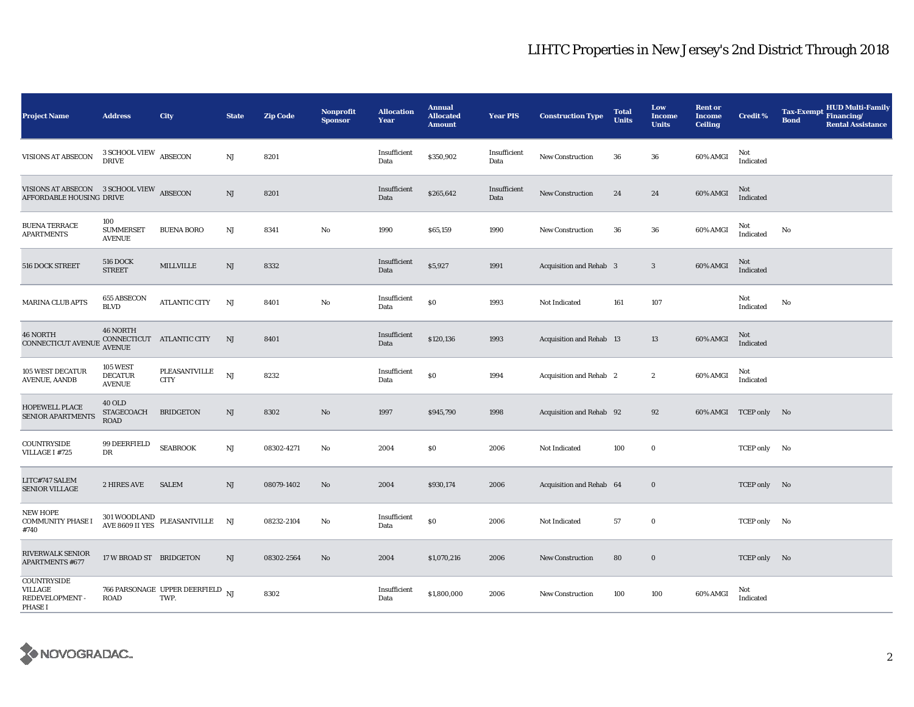| <b>Project Name</b>                                                  | <b>Address</b>                                     | City                                                         | <b>State</b> | <b>Zip Code</b> | <b>Nonprofit</b><br><b>Sponsor</b> | <b>Allocation</b><br>Year | <b>Annual</b><br><b>Allocated</b><br><b>Amount</b> | <b>Year PIS</b>      | <b>Construction Type</b>        | <b>Total</b><br><b>Units</b> | Low<br><b>Income</b><br><b>Units</b> | <b>Rent or</b><br><b>Income</b><br><b>Ceiling</b> | <b>Credit %</b>         | <b>HUD Multi-Family</b><br><b>Tax-Exempt</b><br>Financing/<br><b>Bond</b><br><b>Rental Assistance</b> |
|----------------------------------------------------------------------|----------------------------------------------------|--------------------------------------------------------------|--------------|-----------------|------------------------------------|---------------------------|----------------------------------------------------|----------------------|---------------------------------|------------------------------|--------------------------------------|---------------------------------------------------|-------------------------|-------------------------------------------------------------------------------------------------------|
| <b>VISIONS AT ABSECON</b>                                            | 3 SCHOOL VIEW<br><b>DRIVE</b>                      | <b>ABSECON</b>                                               | $\rm{NJ}$    | 8201            |                                    | Insufficient<br>Data      | \$350,902                                          | Insufficient<br>Data | <b>New Construction</b>         | 36                           | 36                                   | 60% AMGI                                          | Not<br>Indicated        |                                                                                                       |
| VISIONS AT ABSECON 3 SCHOOL VIEW ABSECON<br>AFFORDABLE HOUSING DRIVE |                                                    |                                                              | $\rm{NJ}$    | 8201            |                                    | Insufficient<br>Data      | \$265,642                                          | Insufficient<br>Data | <b>New Construction</b>         | 24                           | 24                                   | 60% AMGI                                          | <b>Not</b><br>Indicated |                                                                                                       |
| <b>BUENA TERRACE</b><br><b>APARTMENTS</b>                            | 100<br><b>SUMMERSET</b><br><b>AVENUE</b>           | <b>BUENA BORO</b>                                            | NJ           | 8341            | No                                 | 1990                      | \$65,159                                           | 1990                 | <b>New Construction</b>         | 36                           | 36                                   | 60% AMGI                                          | Not<br>Indicated        | No                                                                                                    |
| 516 DOCK STREET                                                      | <b>516 DOCK</b><br><b>STREET</b>                   | MILLVILLE                                                    | NJ           | 8332            |                                    | Insufficient<br>Data      | \$5,927                                            | 1991                 | <b>Acquisition and Rehab 3</b>  |                              | $\mathbf{3}$                         | 60% AMGI                                          | Not<br>Indicated        |                                                                                                       |
| <b>MARINA CLUB APTS</b>                                              | 655 ABSECON<br><b>BLVD</b>                         | <b>ATLANTIC CITY</b>                                         | NJ           | 8401            | No                                 | Insufficient<br>Data      | \$0                                                | 1993                 | Not Indicated                   | 161                          | 107                                  |                                                   | Not<br>Indicated        | No                                                                                                    |
| <b>46 NORTH</b><br>CONNECTICUT AVENUE                                | <b>46 NORTH</b><br><b>AVENUE</b>                   | CONNECTICUT ATLANTIC CITY                                    | NJ           | 8401            |                                    | Insufficient<br>Data      | \$120,136                                          | 1993                 | <b>Acquisition and Rehab 13</b> |                              | 13                                   | 60% AMGI                                          | Not<br>Indicated        |                                                                                                       |
| 105 WEST DECATUR<br><b>AVENUE, AANDB</b>                             | <b>105 WEST</b><br><b>DECATUR</b><br><b>AVENUE</b> | PLEASANTVILLE<br><b>CITY</b>                                 | NJ           | 8232            |                                    | Insufficient<br>Data      | $\$0$                                              | 1994                 | Acquisition and Rehab 2         |                              | $\boldsymbol{2}$                     | 60% AMGI                                          | Not<br>Indicated        |                                                                                                       |
| HOPEWELL PLACE<br>SENIOR APARTMENTS                                  | <b>40 OLD</b><br>STAGECOACH<br><b>ROAD</b>         | <b>BRIDGETON</b>                                             | NJ           | 8302            | $\mathbf{N}\mathbf{o}$             | 1997                      | \$945,790                                          | 1998                 | Acquisition and Rehab 92        |                              | 92                                   |                                                   | 60% AMGI TCEP only No   |                                                                                                       |
| COUNTRYSIDE<br>VILLAGE I #725                                        | 99 DEERFIELD<br>DR                                 | <b>SEABROOK</b>                                              | NJ           | 08302-4271      | $\rm No$                           | 2004                      | \$0                                                | 2006                 | Not Indicated                   | 100                          | $\bf{0}$                             |                                                   | TCEP only No            |                                                                                                       |
| LITC#747 SALEM<br><b>SENIOR VILLAGE</b>                              | 2 HIRES AVE                                        | <b>SALEM</b>                                                 | NJ           | 08079-1402      | $\rm No$                           | 2004                      | \$930,174                                          | 2006                 | Acquisition and Rehab 64        |                              | $\bf{0}$                             |                                                   | TCEP only No            |                                                                                                       |
| <b>NEW HOPE</b><br><b>COMMUNITY PHASE I</b><br>#740                  |                                                    | $301\,$ WOODLAND<br>PLEASANTVILLE $\quad$ NJ AVE 8609 II YES |              | 08232-2104      | $\rm No$                           | Insufficient<br>Data      | \$0                                                | 2006                 | Not Indicated                   | 57                           | $\bf{0}$                             |                                                   | TCEP only No            |                                                                                                       |
| <b>RIVERWALK SENIOR</b><br><b>APARTMENTS #677</b>                    | 17 W BROAD ST BRIDGETON                            |                                                              | NJ           | 08302-2564      | $\rm No$                           | 2004                      | \$1,070,216                                        | 2006                 | <b>New Construction</b>         | 80                           | $\bf{0}$                             |                                                   | TCEP only No            |                                                                                                       |
| <b>COUNTRYSIDE</b><br>VILLAGE<br>REDEVELOPMENT -<br><b>PHASE I</b>   | ROAD                                               | 766 PARSONAGE UPPER DEERFIELD $_{\text{NJ}}$<br>TWP.         |              | 8302            |                                    | Insufficient<br>Data      | \$1,800,000                                        | 2006                 | <b>New Construction</b>         | 100                          | 100                                  | 60% AMGI                                          | Not<br>Indicated        |                                                                                                       |

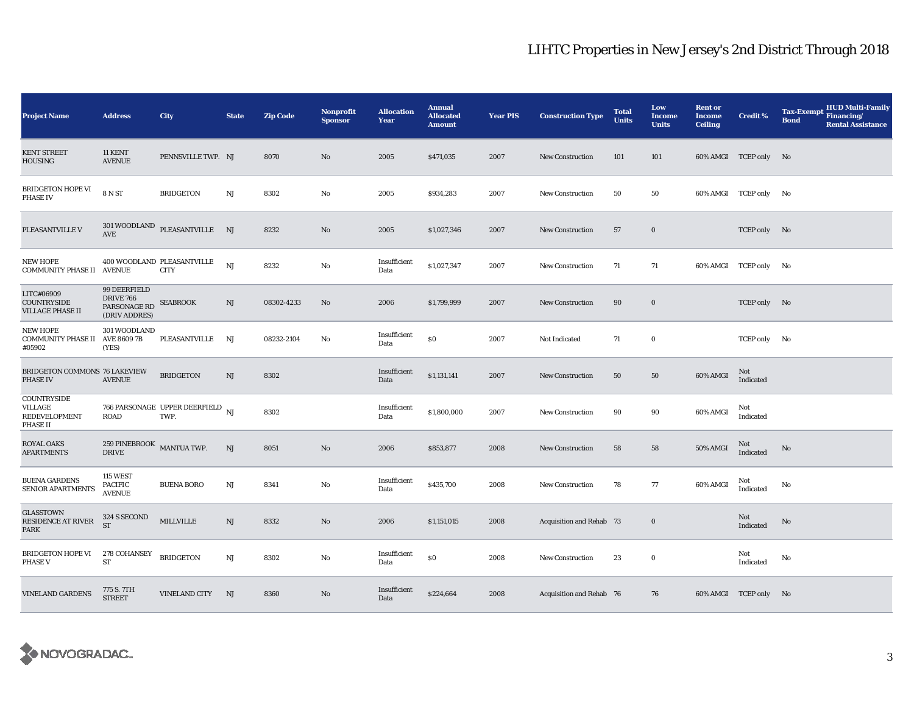| <b>Project Name</b>                                                | <b>Address</b>                                                    | City                                                 | <b>State</b> | <b>Zip Code</b> | <b>Nonprofit</b><br><b>Sponsor</b> | <b>Allocation</b><br>Year | <b>Annual</b><br><b>Allocated</b><br><b>Amount</b> | <b>Year PIS</b> | <b>Construction Type</b> | <b>Total</b><br><b>Units</b> | Low<br>Income<br><b>Units</b> | <b>Rent or</b><br><b>Income</b><br><b>Ceiling</b> | <b>Credit %</b>       | <b>HUD Multi-Family</b><br><b>Tax-Exempt</b><br>Financing/<br><b>Bond</b><br><b>Rental Assistance</b> |
|--------------------------------------------------------------------|-------------------------------------------------------------------|------------------------------------------------------|--------------|-----------------|------------------------------------|---------------------------|----------------------------------------------------|-----------------|--------------------------|------------------------------|-------------------------------|---------------------------------------------------|-----------------------|-------------------------------------------------------------------------------------------------------|
| <b>KENT STREET</b><br><b>HOUSING</b>                               | 11 KENT<br><b>AVENUE</b>                                          | PENNSVILLE TWP. NJ                                   |              | 8070            | No                                 | 2005                      | \$471,035                                          | 2007            | <b>New Construction</b>  | 101                          | 101                           |                                                   | 60% AMGI TCEP only No |                                                                                                       |
| BRIDGETON HOPE VI<br><b>PHASE IV</b>                               | <b>8 N ST</b>                                                     | <b>BRIDGETON</b>                                     | NJ           | 8302            | No                                 | 2005                      | \$934,283                                          | 2007            | <b>New Construction</b>  | 50                           | 50                            |                                                   | 60% AMGI TCEP only No |                                                                                                       |
| PLEASANTVILLE V                                                    | AVE                                                               | $301\,$ WOODLAND $\,$ PLEASANTVILLE $\,$ NJ          |              | 8232            | No                                 | 2005                      | \$1,027,346                                        | 2007            | New Construction         | 57                           | $\bf{0}$                      |                                                   | TCEP only No          |                                                                                                       |
| <b>NEW HOPE</b><br><b>COMMUNITY PHASE II AVENUE</b>                |                                                                   | 400 WOODLAND PLEASANTVILLE<br><b>CITY</b>            | NJ           | 8232            | No                                 | Insufficient<br>Data      | \$1,027,347                                        | 2007            | <b>New Construction</b>  | 71                           | 71                            |                                                   | 60% AMGI TCEP only No |                                                                                                       |
| LITC#06909<br><b>COUNTRYSIDE</b><br><b>VILLAGE PHASE II</b>        | 99 DEERFIELD<br><b>DRIVE 766</b><br>PARSONAGE RD<br>(DRIV ADDRES) | <b>SEABROOK</b>                                      | NJ           | 08302-4233      | No                                 | 2006                      | \$1,799,999                                        | 2007            | <b>New Construction</b>  | 90                           | $\bf{0}$                      |                                                   | TCEP only No          |                                                                                                       |
| <b>NEW HOPE</b><br><b>COMMUNITY PHASE II AVE 8609 7B</b><br>#05902 | 301 WOODLAND<br>(YES)                                             | PLEASANTVILLE                                        | NJ           | 08232-2104      | No                                 | Insufficient<br>Data      | $\$0$                                              | 2007            | Not Indicated            | 71                           | $\bf{0}$                      |                                                   | TCEP only No          |                                                                                                       |
| BRIDGETON COMMONS 76 LAKEVIEW<br><b>PHASE IV</b>                   | <b>AVENUE</b>                                                     | <b>BRIDGETON</b>                                     | NJ           | 8302            |                                    | Insufficient<br>Data      | \$1,131,141                                        | 2007            | <b>New Construction</b>  | 50                           | 50                            | 60% AMGI                                          | Not<br>Indicated      |                                                                                                       |
| COUNTRYSIDE<br>VILLAGE<br>REDEVELOPMENT<br><b>PHASE II</b>         | <b>ROAD</b>                                                       | 766 PARSONAGE UPPER DEERFIELD $_{\text{NJ}}$<br>TWP. |              | 8302            |                                    | Insufficient<br>Data      | \$1,800,000                                        | 2007            | <b>New Construction</b>  | 90                           | 90                            | 60% AMGI                                          | Not<br>Indicated      |                                                                                                       |
| <b>ROYAL OAKS</b><br><b>APARTMENTS</b>                             | 259 PINEBROOK MANTUA TWP.<br><b>DRIVE</b>                         |                                                      | NJ           | 8051            | No                                 | 2006                      | \$853,877                                          | 2008            | New Construction         | 58                           | 58                            | <b>50% AMGI</b>                                   | Not<br>Indicated      | No                                                                                                    |
| <b>BUENA GARDENS</b><br>SENIOR APARTMENTS                          | 115 WEST<br><b>PACIFIC</b><br><b>AVENUE</b>                       | <b>BUENA BORO</b>                                    | NJ           | 8341            | No                                 | Insufficient<br>Data      | \$435,700                                          | 2008            | <b>New Construction</b>  | 78                           | 77                            | 60% AMGI                                          | Not<br>Indicated      | No                                                                                                    |
| <b>GLASSTOWN</b><br>RESIDENCE AT RIVER<br><b>PARK</b>              | 324 S SECOND<br><b>ST</b>                                         | MILLVILLE                                            | NJ           | 8332            | No                                 | 2006                      | \$1,151,015                                        | 2008            | Acquisition and Rehab 73 |                              | $\bf{0}$                      |                                                   | Not<br>Indicated      | No                                                                                                    |
| BRIDGETON HOPE VI<br><b>PHASE V</b>                                | 278 COHANSEY<br>${\rm ST}$                                        | <b>BRIDGETON</b>                                     | NJ           | 8302            | No                                 | Insufficient<br>Data      | \$0                                                | 2008            | <b>New Construction</b>  | 23                           | $\bf{0}$                      |                                                   | Not<br>Indicated      | No                                                                                                    |
| <b>VINELAND GARDENS</b>                                            | 775 S. 7TH<br><b>STREET</b>                                       | <b>VINELAND CITY</b>                                 | NJ           | 8360            | No                                 | Insufficient<br>Data      | \$224,664                                          | 2008            | Acquisition and Rehab 76 |                              | 76                            |                                                   | 60% AMGI TCEP only No |                                                                                                       |

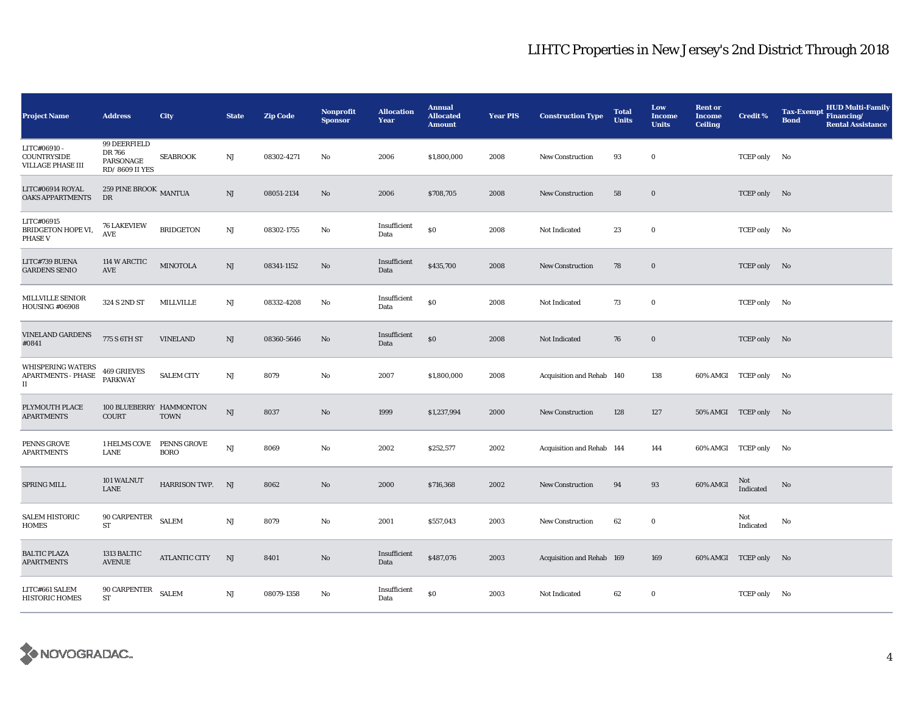| <b>Project Name</b>                                                           | <b>Address</b>                                        | <b>City</b>                       | <b>State</b>           | <b>Zip Code</b> | Nonprofit<br><b>Sponsor</b> | <b>Allocation</b><br>Year | <b>Annual</b><br><b>Allocated</b><br><b>Amount</b> | <b>Year PIS</b> | <b>Construction Type</b>  | <b>Total</b><br><b>Units</b> | Low<br><b>Income</b><br><b>Units</b> | <b>Rent or</b><br><b>Income</b><br><b>Ceiling</b> | <b>Credit %</b>       | <b>HUD Multi-Family</b><br><b>Tax-Exempt</b><br>Financing/<br><b>Bond</b><br><b>Rental Assistance</b> |
|-------------------------------------------------------------------------------|-------------------------------------------------------|-----------------------------------|------------------------|-----------------|-----------------------------|---------------------------|----------------------------------------------------|-----------------|---------------------------|------------------------------|--------------------------------------|---------------------------------------------------|-----------------------|-------------------------------------------------------------------------------------------------------|
| LITC#06910 -<br>COUNTRYSIDE<br>VILLAGE PHASE III                              | 99 DEERFIELD<br>DR 766<br>PARSONAGE<br>RD/8609 II YES | <b>SEABROOK</b>                   | NJ                     | 08302-4271      | No                          | 2006                      | \$1,800,000                                        | 2008            | New Construction          | 93                           | $\bf{0}$                             |                                                   | TCEP only No          |                                                                                                       |
| LITC#06914 ROYAL<br>OAKS APPARTMENTS                                          | 259 PINE BROOK MANTUA<br>${\rm DR}$                   |                                   | $\rm{NJ}$              | 08051-2134      | $\mathbf{No}$               | 2006                      | \$708,705                                          | 2008            | New Construction          | 58                           | $\bf{0}$                             |                                                   | TCEP only No          |                                                                                                       |
| LITC#06915<br>BRIDGETON HOPE VI,<br><b>PHASE V</b>                            | <b>76 LAKEVIEW</b><br>$\operatorname{\mathbf{AVE}}$   | <b>BRIDGETON</b>                  | NJ                     | 08302-1755      | $\mathbf{No}$               | Insufficient<br>Data      | $\$0$                                              | 2008            | Not Indicated             | 23                           | $\bf{0}$                             |                                                   | TCEP only No          |                                                                                                       |
| LITC#739 BUENA<br><b>GARDENS SENIO</b>                                        | 114 W ARCTIC<br>AVE                                   | <b>MINOTOLA</b>                   | $\rm{NJ}$              | 08341-1152      | No                          | Insufficient<br>Data      | \$435,700                                          | 2008            | <b>New Construction</b>   | 78                           | $\bf{0}$                             |                                                   | TCEP only No          |                                                                                                       |
| MILLVILLE SENIOR<br><b>HOUSING #06908</b>                                     | 324 S 2ND ST                                          | MILLVILLE                         | $_{\rm NJ}$            | 08332-4208      | No                          | Insufficient<br>Data      | \$0                                                | 2008            | Not Indicated             | 73                           | $\bf{0}$                             |                                                   | TCEP only No          |                                                                                                       |
| <b>VINELAND GARDENS</b><br>#0841                                              | 775 S 6TH ST                                          | <b>VINELAND</b>                   | $\rm{NJ}$              | 08360-5646      | No                          | Insufficient<br>Data      | \$0                                                | 2008            | Not Indicated             | 76                           | $\bf{0}$                             |                                                   | TCEP only No          |                                                                                                       |
| <b>WHISPERING WATERS</b><br><b>APARTMENTS - PHASE</b><br>$\scriptstyle\rm II$ | 469 GRIEVES<br><b>PARKWAY</b>                         | <b>SALEM CITY</b>                 | $_{\rm NJ}$            | 8079            | $\mathbf{No}$               | 2007                      | \$1,800,000                                        | 2008            | Acquisition and Rehab 140 |                              | 138                                  |                                                   | 60% AMGI TCEP only No |                                                                                                       |
| PLYMOUTH PLACE<br><b>APARTMENTS</b>                                           | 100 BLUEBERRY HAMMONTON<br><b>COURT</b>               | TOWN                              | $\rm{NJ}$              | 8037            | $\rm No$                    | 1999                      | \$1,237,994                                        | 2000            | <b>New Construction</b>   | 128                          | 127                                  |                                                   | 50% AMGI TCEP only No |                                                                                                       |
| PENNS GROVE<br><b>APARTMENTS</b>                                              | 1 HELMS COVE<br><b>LANE</b>                           | <b>PENNS GROVE</b><br><b>BORO</b> | $\mathbf{N}\mathbf{J}$ | 8069            | $\mathbf{No}$               | 2002                      | \$252,577                                          | 2002            | Acquisition and Rehab 144 |                              | 144                                  |                                                   | 60% AMGI TCEP only No |                                                                                                       |
| SPRING MILL                                                                   | 101 WALNUT<br><b>LANE</b>                             | HARRISON TWP. NJ                  |                        | 8062            | $\mathbf{No}$               | 2000                      | \$716,368                                          | 2002            | <b>New Construction</b>   | 94                           | 93                                   | 60% AMGI                                          | Not<br>Indicated      | No                                                                                                    |
| <b>SALEM HISTORIC</b><br>HOMES                                                | 90 CARPENTER<br><b>ST</b>                             | <b>SALEM</b>                      | NJ                     | 8079            | $\mathbf{No}$               | 2001                      | \$557,043                                          | 2003            | <b>New Construction</b>   | 62                           | $\bf{0}$                             |                                                   | Not<br>Indicated      | No                                                                                                    |
| <b>BALTIC PLAZA</b><br><b>APARTMENTS</b>                                      | 1313 BALTIC<br><b>AVENUE</b>                          | <b>ATLANTIC CITY</b>              | NJ                     | 8401            | $\mathbf{No}$               | Insufficient<br>Data      | \$487,076                                          | 2003            | Acquisition and Rehab 169 |                              | 169                                  |                                                   | 60% AMGI TCEP only No |                                                                                                       |
| LITC#661 SALEM<br><b>HISTORIC HOMES</b>                                       | 90 CARPENTER<br>ST                                    | <b>SALEM</b>                      | $\rm{NJ}$              | 08079-1358      | No                          | Insufficient<br>Data      | \$0                                                | 2003            | Not Indicated             | 62                           | $\bf{0}$                             |                                                   | TCEP only No          |                                                                                                       |

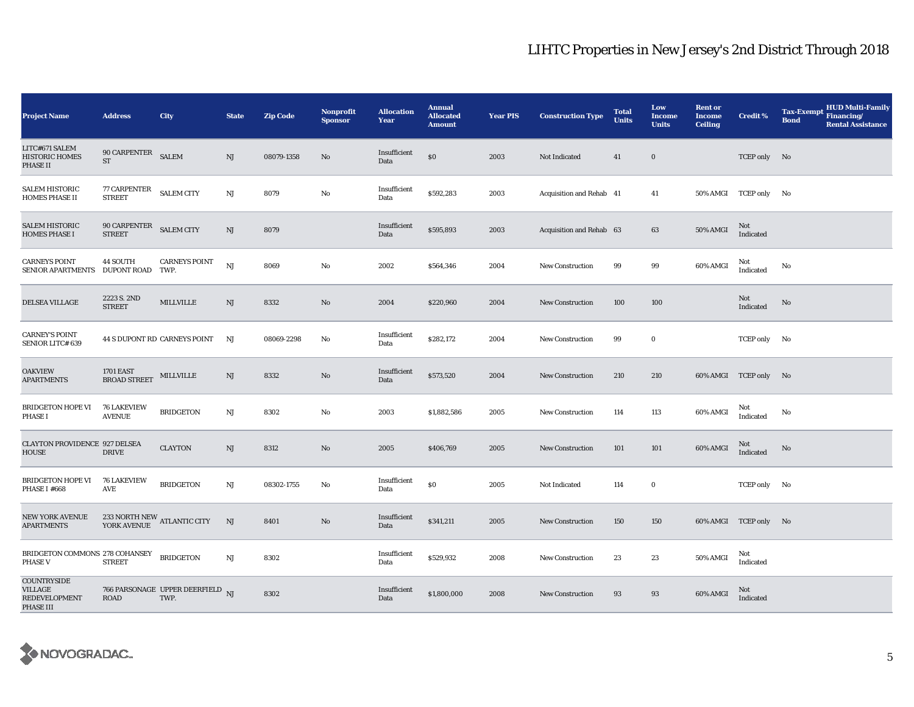| <b>Project Name</b>                                                              | <b>Address</b>                          | City                                           | <b>State</b>           | <b>Zip Code</b> | Nonprofit<br><b>Sponsor</b> | <b>Allocation</b><br>Year | <b>Annual</b><br><b>Allocated</b><br><b>Amount</b> | <b>Year PIS</b> | <b>Construction Type</b> | <b>Total</b><br><b>Units</b> | Low<br><b>Income</b><br><b>Units</b> | <b>Rent or</b><br><b>Income</b><br><b>Ceiling</b> | <b>Credit %</b>       | <b>HUD Multi-Family</b><br><b>Tax-Exempt</b><br>Financing/<br><b>Bond</b><br><b>Rental Assistance</b> |
|----------------------------------------------------------------------------------|-----------------------------------------|------------------------------------------------|------------------------|-----------------|-----------------------------|---------------------------|----------------------------------------------------|-----------------|--------------------------|------------------------------|--------------------------------------|---------------------------------------------------|-----------------------|-------------------------------------------------------------------------------------------------------|
| LITC#671 SALEM<br><b>HISTORIC HOMES</b><br>PHASE II                              | 90 CARPENTER<br>$\operatorname{ST}$     | <b>SALEM</b>                                   | $\mathbf{N}\mathbf{J}$ | 08079-1358      | $\mathbf{No}$               | Insufficient<br>Data      | \$0                                                | 2003            | Not Indicated            | 41                           | $\bf{0}$                             |                                                   | TCEP only No          |                                                                                                       |
| <b>SALEM HISTORIC</b><br><b>HOMES PHASE II</b>                                   | 77 CARPENTER<br><b>STREET</b>           | <b>SALEM CITY</b>                              | $\rm{NJ}$              | 8079            | No                          | Insufficient<br>Data      | \$592,283                                          | 2003            | Acquisition and Rehab 41 |                              | 41                                   | <b>50% AMGI</b>                                   | TCEP only No          |                                                                                                       |
| <b>SALEM HISTORIC</b><br><b>HOMES PHASE I</b>                                    | 90 CARPENTER<br><b>STREET</b>           | <b>SALEM CITY</b>                              | $\rm{NJ}$              | 8079            |                             | Insufficient<br>Data      | \$595,893                                          | 2003            | Acquisition and Rehab 63 |                              | 63                                   | 50% AMGI                                          | Not<br>Indicated      |                                                                                                       |
| <b>CARNEYS POINT</b><br>SENIOR APARTMENTS DUPONT ROAD TWP.                       | 44 SOUTH                                | <b>CARNEYS POINT</b>                           | NJ                     | 8069            | No                          | 2002                      | \$564,346                                          | 2004            | <b>New Construction</b>  | 99                           | 99                                   | 60% AMGI                                          | Not<br>Indicated      | No                                                                                                    |
| <b>DELSEA VILLAGE</b>                                                            | 2223 S. 2ND<br><b>STREET</b>            | <b>MILLVILLE</b>                               | NJ                     | 8332            | $\mathbf{N}\mathbf{o}$      | 2004                      | \$220,960                                          | 2004            | <b>New Construction</b>  | 100                          | 100                                  |                                                   | Not<br>Indicated      | No                                                                                                    |
| <b>CARNEY'S POINT</b><br>SENIOR LITC# 639                                        |                                         | 44 S DUPONT RD CARNEYS POINT                   | NJ                     | 08069-2298      | No                          | Insufficient<br>Data      | \$282,172                                          | 2004            | New Construction         | 99                           | $\bf{0}$                             |                                                   | TCEP only No          |                                                                                                       |
| <b>OAKVIEW</b><br><b>APARTMENTS</b>                                              | <b>1701 EAST</b><br><b>BROAD STREET</b> | MILLVILLE                                      | NJ                     | 8332            | No                          | Insufficient<br>Data      | \$573,520                                          | 2004            | <b>New Construction</b>  | 210                          | 210                                  |                                                   | 60% AMGI TCEP only No |                                                                                                       |
| <b>BRIDGETON HOPE VI</b><br><b>PHASE I</b>                                       | <b>76 LAKEVIEW</b><br><b>AVENUE</b>     | <b>BRIDGETON</b>                               | NJ                     | 8302            | No                          | 2003                      | \$1,882,586                                        | 2005            | New Construction         | 114                          | 113                                  | 60% AMGI                                          | Not<br>Indicated      | No                                                                                                    |
| <b>CLAYTON PROVIDENCE 927 DELSEA</b><br>HOUSE                                    | <b>DRIVE</b>                            | <b>CLAYTON</b>                                 | $\rm{NJ}$              | 8312            | $\mathbf{No}$               | 2005                      | \$406,769                                          | 2005            | <b>New Construction</b>  | 101                          | 101                                  | 60% AMGI                                          | Not<br>Indicated      | No                                                                                                    |
| <b>BRIDGETON HOPE VI</b><br>PHASE I #668                                         | <b>76 LAKEVIEW</b><br>AVE               | <b>BRIDGETON</b>                               | $\rm{NJ}$              | 08302-1755      | No                          | Insufficient<br>Data      | \$0                                                | 2005            | Not Indicated            | 114                          | $\bf{0}$                             |                                                   | TCEP only No          |                                                                                                       |
| <b>NEW YORK AVENUE</b><br><b>APARTMENTS</b>                                      |                                         | $233$ NORTH NEW $\,$ ATLANTIC CITY YORK AVENUE | NJ                     | 8401            | $\rm No$                    | Insufficient<br>Data      | \$341,211                                          | 2005            | New Construction         | 150                          | 150                                  |                                                   | 60% AMGI TCEP only No |                                                                                                       |
| BRIDGETON COMMONS 278 COHANSEY<br><b>PHASE V</b>                                 | <b>STREET</b>                           | <b>BRIDGETON</b>                               | NJ                     | 8302            |                             | Insufficient<br>Data      | \$529,932                                          | 2008            | <b>New Construction</b>  | 23                           | 23                                   | 50% AMGI                                          | Not<br>Indicated      |                                                                                                       |
| <b>COUNTRYSIDE</b><br><b>VILLAGE</b><br><b>REDEVELOPMENT</b><br><b>PHASE III</b> | ROAD                                    | 766 PARSONAGE UPPER DEERFIELD NJ<br>TWP.       |                        | 8302            |                             | Insufficient<br>Data      | \$1,800,000                                        | 2008            | <b>New Construction</b>  | 93                           | 93                                   | 60% AMGI                                          | Not<br>Indicated      |                                                                                                       |

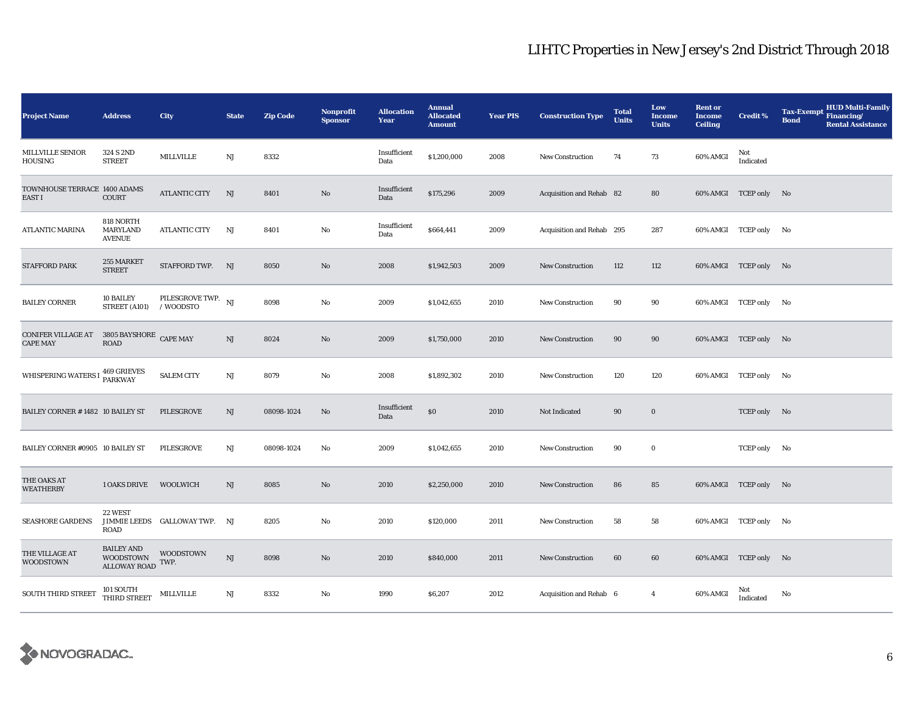| <b>Project Name</b>                                          | <b>Address</b>                                        | <b>City</b>                     | <b>State</b> | <b>Zip Code</b> | Nonprofit<br><b>Sponsor</b> | <b>Allocation</b><br><b>Year</b> | <b>Annual</b><br><b>Allocated</b><br><b>Amount</b> | <b>Year PIS</b> | <b>Construction Type</b>  | <b>Total</b><br><b>Units</b> | Low<br><b>Income</b><br><b>Units</b> | <b>Rent or</b><br><b>Income</b><br><b>Ceiling</b> | <b>Credit %</b>       | <b>HUD Multi-Family</b><br><b>Tax-Exempt</b><br>Financing/<br><b>Bond</b><br><b>Rental Assistance</b> |
|--------------------------------------------------------------|-------------------------------------------------------|---------------------------------|--------------|-----------------|-----------------------------|----------------------------------|----------------------------------------------------|-----------------|---------------------------|------------------------------|--------------------------------------|---------------------------------------------------|-----------------------|-------------------------------------------------------------------------------------------------------|
| MILLVILLE SENIOR<br>HOUSING                                  | 324 S 2ND<br><b>STREET</b>                            | MILLVILLE                       | $_{\rm NJ}$  | 8332            |                             | Insufficient<br>Data             | \$1,200,000                                        | 2008            | New Construction          | 74                           | 73                                   | 60% AMGI                                          | Not<br>Indicated      |                                                                                                       |
| TOWNHOUSE TERRACE 1400 ADAMS<br>EAST I                       | <b>COURT</b>                                          | <b>ATLANTIC CITY</b>            | NJ           | 8401            | No                          | Insufficient<br>Data             | \$175,296                                          | 2009            | Acquisition and Rehab 82  |                              | 80                                   |                                                   | 60% AMGI TCEP only No |                                                                                                       |
| <b>ATLANTIC MARINA</b>                                       | 818 NORTH<br>MARYLAND<br><b>AVENUE</b>                | <b>ATLANTIC CITY</b>            | NJ           | 8401            | No                          | Insufficient<br>Data             | \$664,441                                          | 2009            | Acquisition and Rehab 295 |                              | 287                                  |                                                   | 60% AMGI TCEP only No |                                                                                                       |
| <b>STAFFORD PARK</b>                                         | 255 MARKET<br><b>STREET</b>                           | STAFFORD TWP. NJ                |              | 8050            | No                          | 2008                             | \$1,942,503                                        | 2009            | <b>New Construction</b>   | 112                          | 112                                  |                                                   | 60% AMGI TCEP only No |                                                                                                       |
| <b>BAILEY CORNER</b>                                         | 10 BAILEY<br>STREET (A101)                            | PILESGROVE TWP. NJ<br>/ WOODSTO |              | 8098            | $\mathbf{No}$               | 2009                             | \$1,042,655                                        | 2010            | <b>New Construction</b>   | 90                           | 90                                   |                                                   | 60% AMGI TCEP only No |                                                                                                       |
| CONIFER VILLAGE AT 3805 BAYSHORE CAPE MAY<br><b>CAPE MAY</b> | <b>ROAD</b>                                           |                                 | NJ           | 8024            | No                          | 2009                             | \$1,750,000                                        | 2010            | <b>New Construction</b>   | 90                           | 90                                   |                                                   | 60% AMGI TCEP only No |                                                                                                       |
| WHISPERING WATERS I 469 GRIEVES                              |                                                       | <b>SALEM CITY</b>               | $_{\rm NJ}$  | 8079            | No                          | 2008                             | \$1,892,302                                        | 2010            | <b>New Construction</b>   | 120                          | 120                                  |                                                   | 60% AMGI TCEP only No |                                                                                                       |
| BAILEY CORNER #1482 10 BAILEY ST                             |                                                       | PILESGROVE                      | NJ           | 08098-1024      | No                          | Insufficient<br>Data             | \$0                                                | 2010            | Not Indicated             | 90                           | $\bf{0}$                             |                                                   | TCEP only No          |                                                                                                       |
| BAILEY CORNER #0905 10 BAILEY ST                             |                                                       | PILESGROVE                      | $_{\rm NJ}$  | 08098-1024      | No                          | 2009                             | \$1,042,655                                        | 2010            | <b>New Construction</b>   | 90                           | $\bf{0}$                             |                                                   | TCEP only No          |                                                                                                       |
| THE OAKS AT<br><b>WEATHERBY</b>                              | 1 OAKS DRIVE WOOLWICH                                 |                                 | NJ           | 8085            | $\mathbf{N}\mathbf{o}$      | 2010                             | \$2,250,000                                        | 2010            | New Construction          | 86                           | 85                                   |                                                   | 60% AMGI TCEP only No |                                                                                                       |
| <b>SEASHORE GARDENS</b>                                      | 22 WEST<br><b>ROAD</b>                                | JIMMIE LEEDS GALLOWAY TWP.      | NJ           | 8205            | No                          | 2010                             | \$120,000                                          | 2011            | <b>New Construction</b>   | 58                           | 58                                   |                                                   | 60% AMGI TCEP only No |                                                                                                       |
| THE VILLAGE AT<br><b>WOODSTOWN</b>                           | <b>BAILEY AND</b><br>WOODSTOWN<br><b>ALLOWAY ROAD</b> | <b>WOODSTOWN</b><br>TWP.        | $\rm{NJ}$    | 8098            | $\mathbf{N}\mathbf{o}$      | 2010                             | \$840,000                                          | 2011            | <b>New Construction</b>   | 60                           | 60                                   |                                                   | 60% AMGI TCEP only No |                                                                                                       |
| SOUTH THIRD STREET                                           | $101$ SOUTH THIRD STREET $\quad$ MILLVILLE            |                                 | NJ           | 8332            | No                          | 1990                             | \$6,207                                            | 2012            | Acquisition and Rehab 6   |                              | $\overline{4}$                       | 60% AMGI                                          | Not<br>Indicated      | No                                                                                                    |

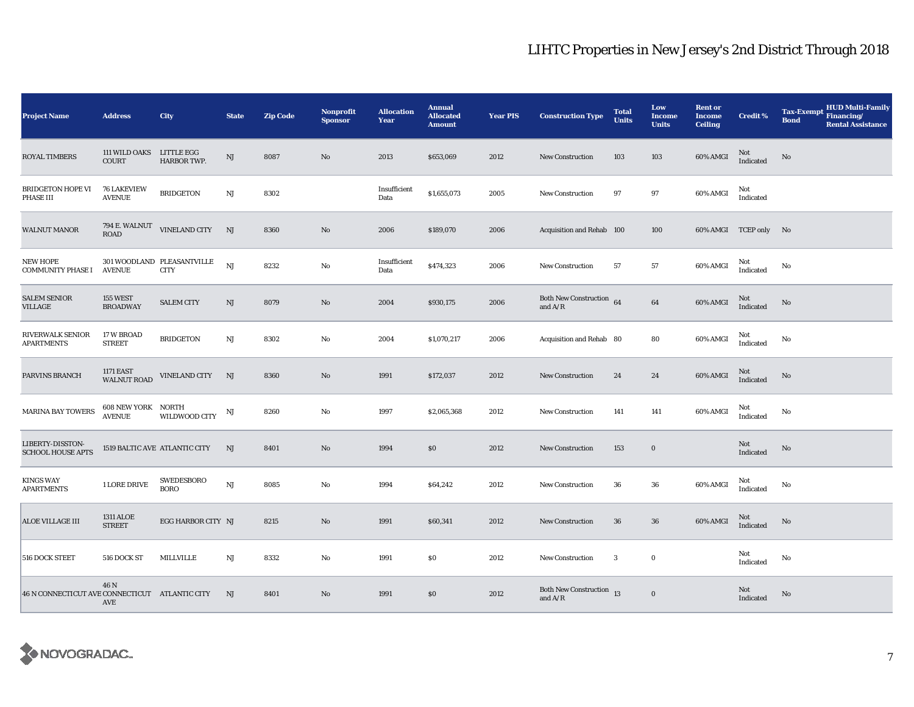| <b>Project Name</b>                            | <b>Address</b>                             | <b>City</b>                               | <b>State</b>           | <b>Zip Code</b> | Nonprofit<br><b>Sponsor</b> | <b>Allocation</b><br>Year | <b>Annual</b><br><b>Allocated</b><br><b>Amount</b> | <b>Year PIS</b> | <b>Construction Type</b>              | <b>Total</b><br><b>Units</b> | Low<br><b>Income</b><br><b>Units</b> | <b>Rent or</b><br><b>Income</b><br><b>Ceiling</b> | <b>Credit %</b>       | <b>HUD Multi-Family</b><br><b>Tax-Exempt</b><br>Financing/<br><b>Bond</b><br><b>Rental Assistance</b> |
|------------------------------------------------|--------------------------------------------|-------------------------------------------|------------------------|-----------------|-----------------------------|---------------------------|----------------------------------------------------|-----------------|---------------------------------------|------------------------------|--------------------------------------|---------------------------------------------------|-----------------------|-------------------------------------------------------------------------------------------------------|
| <b>ROYAL TIMBERS</b>                           | <b>111 WILD OAKS</b><br>COURT              | LITTLE EGG<br>HARBOR TWP.                 | $\mathbf{N}\mathbf{J}$ | 8087            | $\mathbf{N}\mathbf{o}$      | 2013                      | \$653,069                                          | 2012            | New Construction                      | 103                          | 103                                  | 60% AMGI                                          | Not<br>Indicated      | No                                                                                                    |
| <b>BRIDGETON HOPE VI</b><br>PHASE III          | <b>76 LAKEVIEW</b><br><b>AVENUE</b>        | <b>BRIDGETON</b>                          | NJ                     | 8302            |                             | Insufficient<br>Data      | \$1,655,073                                        | 2005            | <b>New Construction</b>               | 97                           | 97                                   | 60% AMGI                                          | Not<br>Indicated      |                                                                                                       |
| <b>WALNUT MANOR</b>                            | 794 E. WALNUT<br>ROAD                      | VINELAND CITY                             | NJ                     | 8360            | $\mathbf{N}\mathbf{o}$      | 2006                      | \$189,070                                          | 2006            | Acquisition and Rehab 100             |                              | 100                                  |                                                   | 60% AMGI TCEP only No |                                                                                                       |
| NEW HOPE<br><b>COMMUNITY PHASE I</b>           | <b>AVENUE</b>                              | 301 WOODLAND PLEASANTVILLE<br><b>CITY</b> | NJ                     | 8232            | $\mathbf{No}$               | Insufficient<br>Data      | \$474,323                                          | 2006            | <b>New Construction</b>               | 57                           | 57                                   | 60% AMGI                                          | Not<br>Indicated      | No                                                                                                    |
| <b>SALEM SENIOR</b><br>VILLAGE                 | <b>155 WEST</b><br><b>BROADWAY</b>         | <b>SALEM CITY</b>                         | NJ                     | 8079            | $\mathbf{N}\mathbf{o}$      | 2004                      | \$930,175                                          | 2006            | Both New Construction 64<br>and $A/R$ |                              | 64                                   | 60% AMGI                                          | Not<br>Indicated      | No                                                                                                    |
| RIVERWALK SENIOR<br><b>APARTMENTS</b>          | 17 W BROAD<br><b>STREET</b>                | <b>BRIDGETON</b>                          | $_{\rm NJ}$            | 8302            | No                          | 2004                      | \$1,070,217                                        | 2006            | Acquisition and Rehab 80              |                              | 80                                   | 60% AMGI                                          | Not<br>Indicated      | No                                                                                                    |
| PARVINS BRANCH                                 | 1171 EAST<br>WALNUT ROAD                   | <b>VINELAND CITY</b>                      | NJ                     | 8360            | No                          | 1991                      | \$172,037                                          | 2012            | New Construction                      | 24                           | 24                                   | 60% AMGI                                          | Not<br>Indicated      | No                                                                                                    |
| <b>MARINA BAY TOWERS</b>                       | <b>608 NEW YORK NORTH</b><br><b>AVENUE</b> | WILDWOOD CITY                             | NJ                     | 8260            | No                          | 1997                      | \$2,065,368                                        | 2012            | <b>New Construction</b>               | 141                          | 141                                  | 60% AMGI                                          | Not<br>Indicated      | No                                                                                                    |
| LIBERTY-DISSTON-<br><b>SCHOOL HOUSE APTS</b>   |                                            | 1519 BALTIC AVE ATLANTIC CITY             | NJ                     | 8401            | No                          | 1994                      | \$0                                                | 2012            | New Construction                      | 153                          | $\bf{0}$                             |                                                   | Not<br>Indicated      | No                                                                                                    |
| <b>KINGS WAY</b><br><b>APARTMENTS</b>          | 1 LORE DRIVE                               | <b>SWEDESBORO</b><br><b>BORO</b>          | NJ                     | 8085            | No                          | 1994                      | \$64,242                                           | 2012            | New Construction                      | 36                           | 36                                   | 60% AMGI                                          | Not<br>Indicated      | No                                                                                                    |
| ALOE VILLAGE III                               | <b>1311 ALOE</b><br><b>STREET</b>          | EGG HARBOR CITY NJ                        |                        | 8215            | $\mathbf{N}\mathbf{o}$      | 1991                      | \$60,341                                           | 2012            | <b>New Construction</b>               | 36                           | 36                                   | 60% AMGI                                          | Not<br>Indicated      | No                                                                                                    |
| 516 DOCK STEET                                 | 516 DOCK ST                                | <b>MILLVILLE</b>                          | $_{\rm NJ}$            | 8332            | $\mathbf{No}$               | 1991                      | \$0                                                | 2012            | New Construction                      | 3                            | $\bf{0}$                             |                                                   | Not<br>Indicated      | No                                                                                                    |
| 46 N CONNECTICUT AVE CONNECTICUT ATLANTIC CITY | 46 N<br>AVE                                |                                           | NJ                     | 8401            | $\mathbf{N}\mathbf{o}$      | 1991                      | \$0                                                | 2012            | Both New Construction 13<br>and $A/R$ |                              | $\bf{0}$                             |                                                   | Not<br>Indicated      | No                                                                                                    |

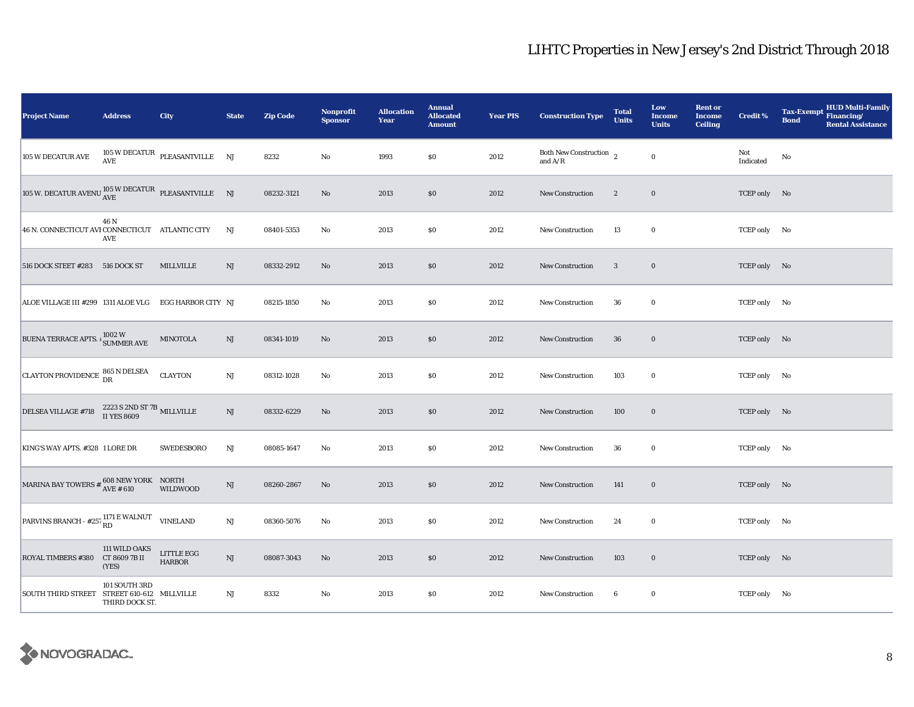| Project Name                                                                                                                   | <b>Address</b>                                              | City                                                 | <b>State</b> | <b>Zip Code</b> | <b>Nonprofit</b><br><b>Sponsor</b> | <b>Allocation</b><br>Year | <b>Annual</b><br><b>Allocated</b><br><b>Amount</b> | <b>Year PIS</b> | <b>Construction Type</b>                                                              | <b>Total</b><br><b>Units</b> | Low<br><b>Income</b><br><b>Units</b> | <b>Rent or</b><br><b>Income</b><br><b>Ceiling</b> | <b>Credit %</b>  | <b>HUD Multi-Family</b><br><b>Tax-Exempt</b><br>Financing/<br><b>Bond</b><br><b>Rental Assistance</b> |
|--------------------------------------------------------------------------------------------------------------------------------|-------------------------------------------------------------|------------------------------------------------------|--------------|-----------------|------------------------------------|---------------------------|----------------------------------------------------|-----------------|---------------------------------------------------------------------------------------|------------------------------|--------------------------------------|---------------------------------------------------|------------------|-------------------------------------------------------------------------------------------------------|
| 105 W DECATUR AVE                                                                                                              | AVE                                                         | $105\,\mathrm{W}\,\mathrm{DECATUR}$ PLEASANTVILLE NJ |              | 8232            | No                                 | 1993                      | \$0                                                | 2012            | Both New Construction $\,$ 2<br>and $\ensuremath{\mathrm{A}}/\ensuremath{\mathrm{R}}$ |                              | $\mathbf 0$                          |                                                   | Not<br>Indicated | No                                                                                                    |
| 105 W. DECATUR AVENU $\frac{105}{\text{AVE}}$ PLEASANTVILLE NJ                                                                 |                                                             |                                                      |              | 08232-3121      | No                                 | 2013                      | \$0                                                | 2012            | New Construction                                                                      | $\overline{2}$               | $\bf{0}$                             |                                                   | TCEP only No     |                                                                                                       |
| 46 N. CONNECTICUT AVI CONNECTICUT ATLANTIC CITY                                                                                | 46 N<br>AVE                                                 |                                                      | NJ           | 08401-5353      | No                                 | 2013                      | \$0                                                | 2012            | <b>New Construction</b>                                                               | 13                           | $\bf{0}$                             |                                                   | TCEP only No     |                                                                                                       |
| 516 DOCK STEET #283 516 DOCK ST                                                                                                |                                                             | <b>MILLVILLE</b>                                     | NJ           | 08332-2912      | No                                 | 2013                      | \$0                                                | 2012            | <b>New Construction</b>                                                               | $\boldsymbol{3}$             | $\bf{0}$                             |                                                   | TCEP only No     |                                                                                                       |
| ALOE VILLAGE III #299 1311 ALOE VLG                                                                                            |                                                             | EGG HARBOR CITY NJ                                   |              | 08215-1850      | No                                 | 2013                      | \$0                                                | 2012            | <b>New Construction</b>                                                               | 36                           | $\bf{0}$                             |                                                   | TCEP only No     |                                                                                                       |
| BUENA TERRACE APTS. <sup>1002</sup> W<br>SUMMER AVE                                                                            |                                                             | MINOTOLA                                             | NJ           | 08341-1019      | No                                 | 2013                      | \$0                                                | 2012            | <b>New Construction</b>                                                               | 36                           | $\bf{0}$                             |                                                   | TCEP only No     |                                                                                                       |
| CLAYTON PROVIDENCE 865 N DELSEA                                                                                                |                                                             | <b>CLAYTON</b>                                       | $\rm{NJ}$    | 08312-1028      | No                                 | 2013                      | \$0                                                | 2012            | <b>New Construction</b>                                                               | 103                          | $\bf{0}$                             |                                                   | TCEP only No     |                                                                                                       |
| DELSEA VILLAGE #718                                                                                                            | 2223 S 2ND ST 7B<br>II YES 8609                             |                                                      | NJ           | 08332-6229      | No                                 | 2013                      | \$0                                                | 2012            | <b>New Construction</b>                                                               | 100                          | $\bf{0}$                             |                                                   | TCEP only No     |                                                                                                       |
| KING'S WAY APTS. #328 1 LORE DR                                                                                                |                                                             | <b>SWEDESBORO</b>                                    | $_{\rm NJ}$  | 08085-1647      | No                                 | 2013                      | \$0                                                | 2012            | New Construction                                                                      | 36                           | $\bf{0}$                             |                                                   | TCEP only No     |                                                                                                       |
| MARINA BAY TOWERS # $\frac{608}{\text{AVE}}$ # 610 WILDWO                                                                      |                                                             | <b>WILDWOOD</b>                                      | NJ           | 08260-2867      | No                                 | 2013                      | \$0                                                | 2012            | New Construction                                                                      | 141                          | $\bf{0}$                             |                                                   | TCEP only No     |                                                                                                       |
| PARVINS BRANCH - #257 RD WALNUT VINELAND                                                                                       |                                                             |                                                      | $_{\rm NJ}$  | 08360-5076      | No                                 | 2013                      | \$0                                                | 2012            | <b>New Construction</b>                                                               | 24                           | $\bf{0}$                             |                                                   | TCEP only No     |                                                                                                       |
| $\begin{array}{ l l } \hline & \text{111 WILLD OAKS} \\ \text{ROYAL TIMBERS } \text{\#380} & \text{CT 8609 7B II} \end{array}$ | (YES)                                                       | LITTLE $\rm{EGG}$<br><b>HARBOR</b>                   | $_{\rm NJ}$  | 08087-3043      | No                                 | 2013                      | \$0                                                | 2012            | <b>New Construction</b>                                                               | 103                          | $\bf{0}$                             |                                                   | TCEP only No     |                                                                                                       |
| SOUTH THIRD STREET                                                                                                             | 101 SOUTH 3RD<br>STREET 610-612 MILLVILLE<br>THIRD DOCK ST. |                                                      | $_{\rm NJ}$  | 8332            | No                                 | 2013                      | S <sub>0</sub>                                     | 2012            | <b>New Construction</b>                                                               | 6                            | $\bf{0}$                             |                                                   | TCEP only No     |                                                                                                       |

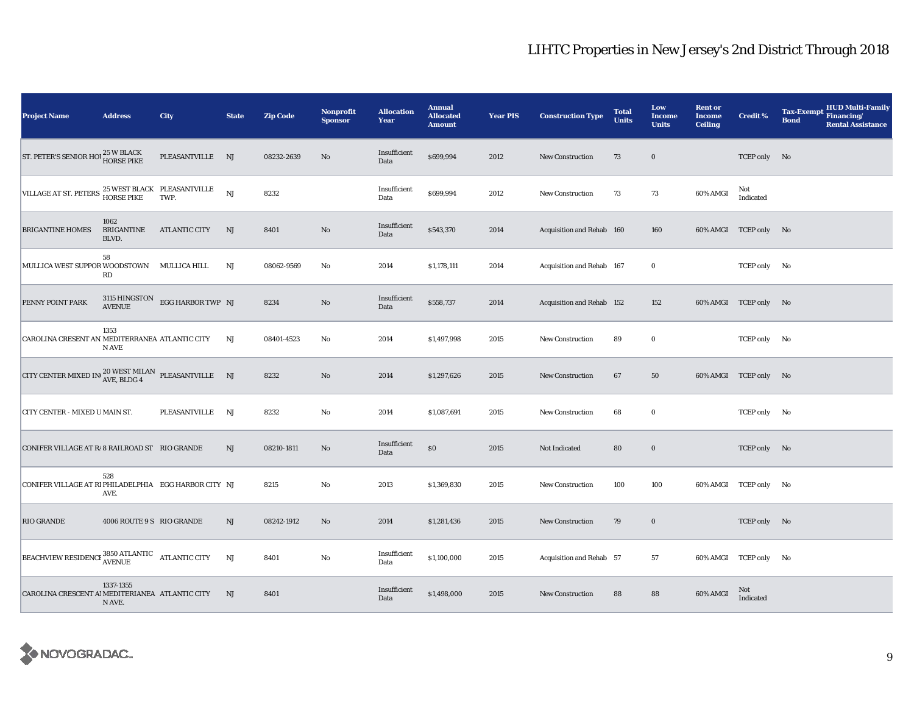| <b>Project Name</b>                                                                   | <b>Address</b>              | City                            | <b>State</b> | <b>Zip Code</b> | Nonprofit<br><b>Sponsor</b> | <b>Allocation</b><br>Year | <b>Annual</b><br><b>Allocated</b><br><b>Amount</b> | <b>Year PIS</b> | <b>Construction Type</b>  | <b>Total</b><br><b>Units</b> | Low<br>Income<br><b>Units</b> | <b>Rent or</b><br><b>Income</b><br><b>Ceiling</b> | <b>Credit %</b>       | <b>HUD Multi-Family</b><br><b>Tax-Exempt</b><br>Financing/<br><b>Bond</b><br><b>Rental Assistance</b> |  |
|---------------------------------------------------------------------------------------|-----------------------------|---------------------------------|--------------|-----------------|-----------------------------|---------------------------|----------------------------------------------------|-----------------|---------------------------|------------------------------|-------------------------------|---------------------------------------------------|-----------------------|-------------------------------------------------------------------------------------------------------|--|
| ST. PETER'S SENIOR HOU 25 W BLACK                                                     |                             | PLEASANTVILLE NJ                |              | 08232-2639      | No                          | Insufficient<br>Data      | \$699,994                                          | 2012            | New Construction          | 73                           | $\bf{0}$                      |                                                   | TCEP only No          |                                                                                                       |  |
| VILLAGE AT ST. PETERS $^{25}$ WEST BLACK PLEASANTVILLE $$\tt HORSE~PIKE$$ TWP.        |                             |                                 | NJ           | 8232            |                             | Insufficient<br>Data      | \$699,994                                          | 2012            | <b>New Construction</b>   | 73                           | 73                            | 60% AMGI                                          | Not<br>Indicated      |                                                                                                       |  |
| <b>BRIGANTINE HOMES</b>                                                               | 1062<br>BRIGANTINE<br>BLVD. | <b>ATLANTIC CITY</b>            | NJ           | 8401            | $\rm No$                    | Insufficient<br>Data      | \$543,370                                          | 2014            | Acquisition and Rehab 160 |                              | 160                           |                                                   | 60% AMGI TCEP only No |                                                                                                       |  |
| MULLICA WEST SUPPOR WOODSTOWN MULLICA HILL                                            | 58<br><b>RD</b>             |                                 | NJ           | 08062-9569      | No                          | 2014                      | \$1,178,111                                        | 2014            | Acquisition and Rehab 167 |                              | $\bf{0}$                      |                                                   | TCEP only No          |                                                                                                       |  |
| PENNY POINT PARK                                                                      | <b>AVENUE</b>               | 3115 HINGSTON EGG HARBOR TWP NJ |              | 8234            | No                          | Insufficient<br>Data      | \$558,737                                          | 2014            | Acquisition and Rehab 152 |                              | 152                           |                                                   | 60% AMGI TCEP only No |                                                                                                       |  |
| CAROLINA CRESENT AN MEDITERRANEA ATLANTIC CITY                                        | 1353<br>N AVE               |                                 | NJ           | 08401-4523      | No                          | 2014                      | \$1,497,998                                        | 2015            | New Construction          | 89                           | $\bf{0}$                      |                                                   | TCEP only No          |                                                                                                       |  |
| CITY CENTER MIXED IN $_{\text{AVE, BLDG 4}}^{20 \text{ WEST MILAN}}$ PLEASANTVILLE NJ |                             |                                 |              | 8232            | No                          | 2014                      | \$1,297,626                                        | 2015            | New Construction          | 67                           | 50                            |                                                   | 60% AMGI TCEP only No |                                                                                                       |  |
| CITY CENTER - MIXED U MAIN ST.                                                        |                             | PLEASANTVILLE                   | NJ           | 8232            | No                          | 2014                      | \$1,087,691                                        | 2015            | New Construction          | 68                           | $\bf{0}$                      |                                                   | TCEP only No          |                                                                                                       |  |
| CONIFER VILLAGE AT R/8 RAILROAD ST RIO GRANDE                                         |                             |                                 | NJ           | 08210-1811      | No                          | Insufficient<br>Data      | $\$0$                                              | 2015            | Not Indicated             | 80                           | $\mathbf 0$                   |                                                   | TCEP only No          |                                                                                                       |  |
| CONIFER VILLAGE AT RIPHILADELPHIA EGG HARBOR CITY NJ                                  | 528<br>AVE.                 |                                 |              | 8215            | $\rm No$                    | 2013                      | \$1,369,830                                        | 2015            | <b>New Construction</b>   | 100                          | 100                           |                                                   | 60% AMGI TCEP only No |                                                                                                       |  |
| <b>RIO GRANDE</b>                                                                     | 4006 ROUTE 9 S RIO GRANDE   |                                 | NJ           | 08242-1912      | $\rm No$                    | 2014                      | \$1,281,436                                        | 2015            | <b>New Construction</b>   | 79                           | $\bf{0}$                      |                                                   | TCEP only No          |                                                                                                       |  |
| BEACHVIEW RESIDENCE 3850 ATLANTIC ATLANTIC CITY                                       |                             |                                 | NJ           | 8401            | $\rm No$                    | Insufficient<br>Data      | \$1,100,000                                        | 2015            | Acquisition and Rehab 57  |                              | 57                            |                                                   | 60% AMGI TCEP only No |                                                                                                       |  |
| CAROLINA CRESCENT AI MEDITERIANEA ATLANTIC CITY                                       | 1337-1355<br>N AVE.         |                                 | NJ           | 8401            |                             | Insufficient<br>Data      | \$1,498,000                                        | 2015            | <b>New Construction</b>   | 88                           | 88                            | 60% AMGI                                          | Not<br>Indicated      |                                                                                                       |  |

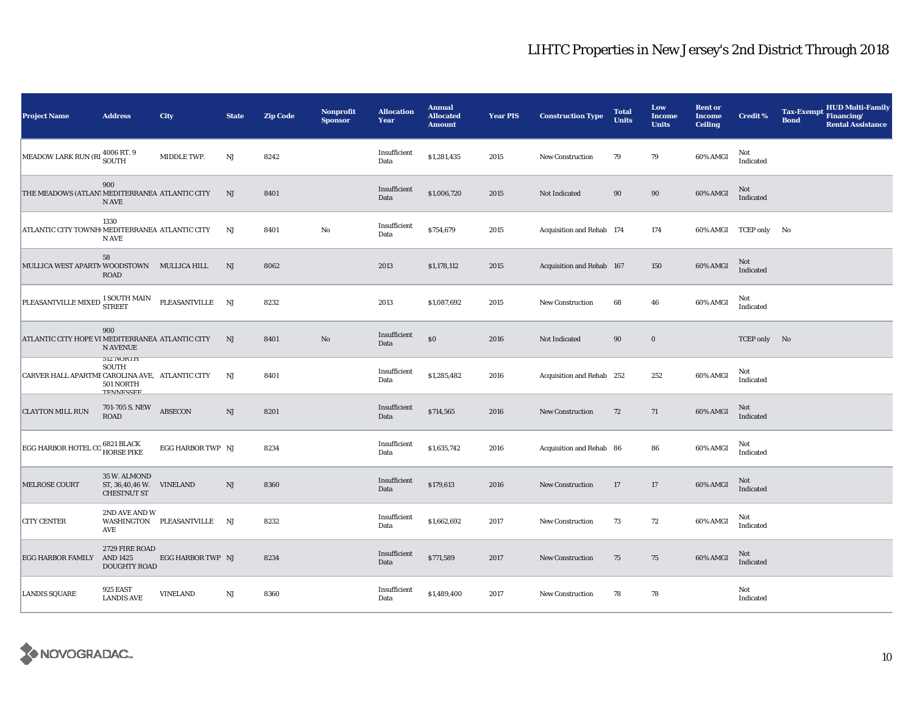| <b>Project Name</b>                              | <b>Address</b>                                             | City                        | <b>State</b> | <b>Zip Code</b> | <b>Nonprofit</b><br><b>Sponsor</b> | <b>Allocation</b><br>Year | <b>Annual</b><br><b>Allocated</b><br><b>Amount</b> | <b>Year PIS</b> | <b>Construction Type</b>  | <b>Total</b><br><b>Units</b> | Low<br><b>Income</b><br><b>Units</b> | <b>Rent or</b><br><b>Income</b><br><b>Ceiling</b> | <b>Credit %</b>         | <b>HUD Multi-Family</b><br><b>Tax-Exempt</b><br>Financing/<br><b>Bond</b><br><b>Rental Assistance</b> |
|--------------------------------------------------|------------------------------------------------------------|-----------------------------|--------------|-----------------|------------------------------------|---------------------------|----------------------------------------------------|-----------------|---------------------------|------------------------------|--------------------------------------|---------------------------------------------------|-------------------------|-------------------------------------------------------------------------------------------------------|
| MEADOW LARK RUN (RI 4006 RT. 9                   |                                                            | MIDDLE TWP.                 | NJ           | 8242            |                                    | Insufficient<br>Data      | \$1,281,435                                        | 2015            | <b>New Construction</b>   | 79                           | 79                                   | 60% AMGI                                          | Not<br>Indicated        |                                                                                                       |
| THE MEADOWS (ATLAN! MEDITERRANEA ATLANTIC CITY   | 900<br>N AVE                                               |                             | NJ           | 8401            |                                    | Insufficient<br>Data      | \$1,006,720                                        | 2015            | Not Indicated             | 90                           | 90                                   | 60% AMGI                                          | Not<br>Indicated        |                                                                                                       |
| ATLANTIC CITY TOWNH MEDITERRANEA ATLANTIC CITY   | 1330<br>N AVE                                              |                             | NJ           | 8401            | $\rm No$                           | Insufficient<br>Data      | \$754,679                                          | 2015            | Acquisition and Rehab 174 |                              | 174                                  |                                                   | 60% AMGI TCEP only No   |                                                                                                       |
| MULLICA WEST APARTM WOODSTOWN MULLICA HILL       | 58<br><b>ROAD</b>                                          |                             | NJ           | 8062            |                                    | 2013                      | \$1,178,112                                        | 2015            | Acquisition and Rehab 167 |                              | 150                                  | 60% AMGI                                          | Not<br>Indicated        |                                                                                                       |
| PLEASANTVILLE MIXED                              | 1 SOUTH MAIN<br><b>STREET</b>                              | PLEASANTVILLE NJ            |              | 8232            |                                    | 2013                      | \$1,087,692                                        | 2015            | New Construction          | 68                           | 46                                   | 60% AMGI                                          | Not<br>Indicated        |                                                                                                       |
| ATLANTIC CITY HOPE VI MEDITERRANEA ATLANTIC CITY | 900<br><b>N AVENUE</b>                                     |                             | NJ           | 8401            | $\rm No$                           | Insufficient<br>Data      | $\$0$                                              | 2016            | Not Indicated             | 90                           | $\mathbf 0$                          |                                                   | TCEP only No            |                                                                                                       |
| CARVER HALL APARTME CAROLINA AVE, ATLANTIC CITY  | <b>JIZ NUKIH</b><br><b>SOUTH</b><br>501 NORTH<br>TEMMECCEE |                             | NJ           | 8401            |                                    | Insufficient<br>Data      | \$1,285,482                                        | 2016            | Acquisition and Rehab 252 |                              | 252                                  | 60% AMGI                                          | Not<br>Indicated        |                                                                                                       |
| <b>CLAYTON MILL RUN</b>                          | 701-705 S. NEW<br><b>ROAD</b>                              | <b>ABSECON</b>              | NJ           | 8201            |                                    | Insufficient<br>Data      | \$714,565                                          | 2016            | New Construction          | 72                           | 71                                   | 60% AMGI                                          | Not<br><b>Indicated</b> |                                                                                                       |
| EGG HARBOR HOTEL CO                              | 6821 BLACK<br>HORSE PIKE                                   | EGG HARBOR TWP NJ           |              | 8234            |                                    | Insufficient<br>Data      | \$1,635,742                                        | 2016            | Acquisition and Rehab 86  |                              | 86                                   | 60% AMGI                                          | Not<br>Indicated        |                                                                                                       |
| <b>MELROSE COURT</b>                             | 35 W. ALMOND<br>ST, 36,40,46 W.<br><b>CHESTNUT ST</b>      | <b>VINELAND</b>             | NJ           | 8360            |                                    | Insufficient<br>Data      | \$179,613                                          | 2016            | <b>New Construction</b>   | 17                           | 17                                   | 60% AMGI                                          | Not<br>Indicated        |                                                                                                       |
| <b>CITY CENTER</b>                               | 2ND AVE AND W<br>AVE                                       | WASHINGTON PLEASANTVILLE NJ |              | 8232            |                                    | Insufficient<br>Data      | \$1,662,692                                        | 2017            | <b>New Construction</b>   | 73                           | 72                                   | 60% AMGI                                          | Not<br>Indicated        |                                                                                                       |
| EGG HARBOR FAMILY AND 1425                       | 2729 FIRE ROAD<br>DOUGHTY ROAD                             | EGG HARBOR TWP NJ           |              | 8234            |                                    | Insufficient<br>Data      | \$771,589                                          | 2017            | <b>New Construction</b>   | 75                           | 75                                   | 60% AMGI                                          | Not<br>Indicated        |                                                                                                       |
| <b>LANDIS SQUARE</b>                             | 925 EAST<br><b>LANDIS AVE</b>                              | <b>VINELAND</b>             | $_{\rm NJ}$  | 8360            |                                    | Insufficient<br>Data      | \$1,489,400                                        | 2017            | New Construction          | 78                           | 78                                   |                                                   | Not<br>Indicated        |                                                                                                       |